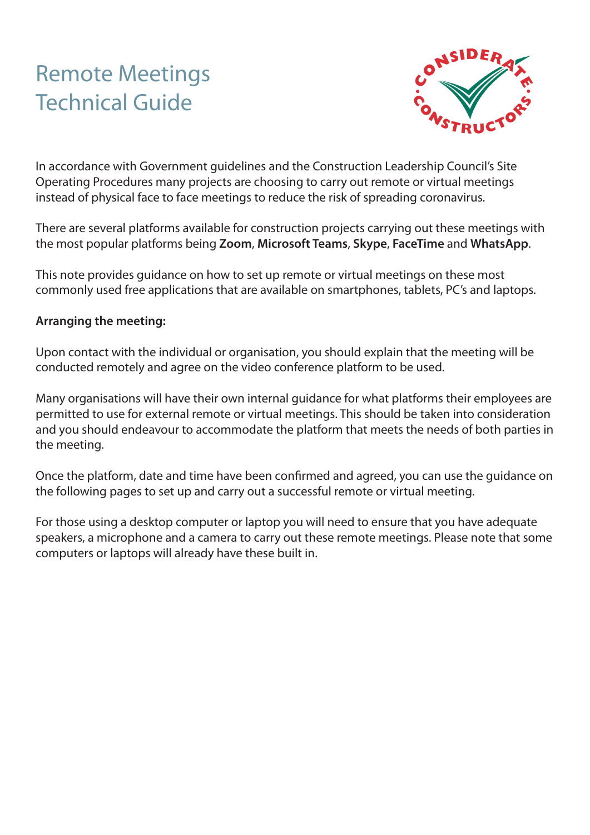# Remote Meetings Technical Guide



In accordance with Government guidelines and the Construction Leadership Council's Site Operating Procedures many projects are choosing to carry out remote or virtual meetings instead of physical face to face meetings to reduce the risk of spreading coronavirus.

There are several platforms available for construction projects carrying out these meetings with the most popular platforms being **Zoom**, **Microsoft Teams**, **Skype**, **FaceTime** and **WhatsApp**.

This note provides guidance on how to set up remote or virtual meetings on these most commonly used free applications that are available on smartphones, tablets, PC's and laptops.

#### **Arranging the meeting:**

Upon contact with the individual or organisation, you should explain that the meeting will be conducted remotely and agree on the video conference platform to be used.

Many organisations will have their own internal guidance for what platforms their employees are permitted to use for external remote or virtual meetings. This should be taken into consideration and you should endeavour to accommodate the platform that meets the needs of both parties in the meeting.

Once the platform, date and time have been confirmed and agreed, you can use the guidance on the following pages to set up and carry out a successful remote or virtual meeting.

For those using a desktop computer or laptop you will need to ensure that you have adequate speakers, a microphone and a camera to carry out these remote meetings. Please note that some computers or laptops will already have these built in.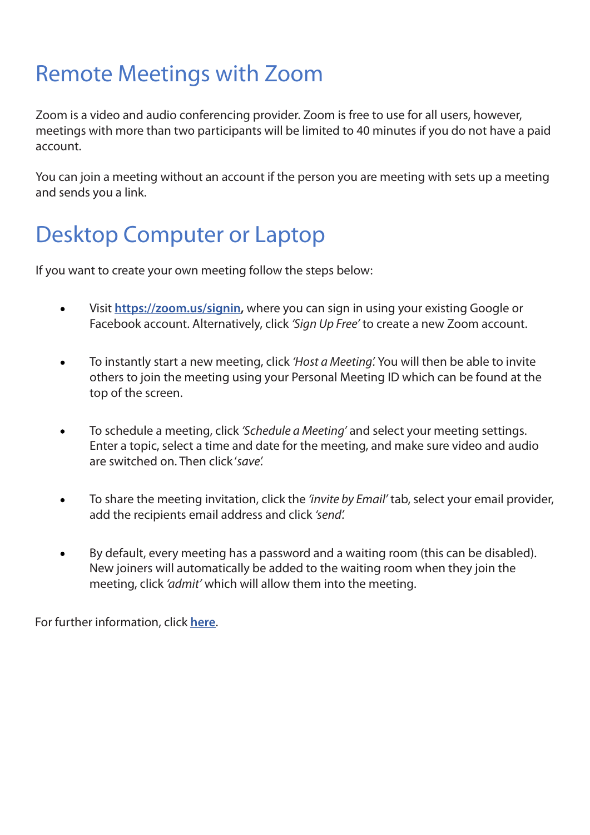#### Remote Meetings with Zoom

Zoom is a video and audio conferencing provider. Zoom is free to use for all users, however, meetings with more than two participants will be limited to 40 minutes if you do not have a paid account.

You can join a meeting without an account if the person you are meeting with sets up a meeting and sends you a link.

#### Desktop Computer or Laptop

If you want to create your own meeting follow the steps below:

- Visit **<https://zoom.us/signin>,** where you can sign in using your existing Google or  $\bullet$ Facebook account. Alternatively, click *'Sign Up Free'* to create a new Zoom account.
- To instantly start a new meeting, click *'Host a Meeting'.* You will then be able to invite others to join the meeting using your Personal Meeting ID which can be found at the top of the screen.
- To schedule a meeting, click *'Schedule a Meeting'* and select your meeting settings.  $\bullet$ Enter a topic, select a time and date for the meeting, and make sure video and audio are switched on. Then click '*save'.*
- To share the meeting invitation, click the *'invite by Email'* tab, select your email provider,  $\bullet$ add the recipients email address and click *'send'.*
- By default, every meeting has a password and a waiting room (this can be disabled). New joiners will automatically be added to the waiting room when they join the meeting, click *'admit'* which will allow them into the meeting.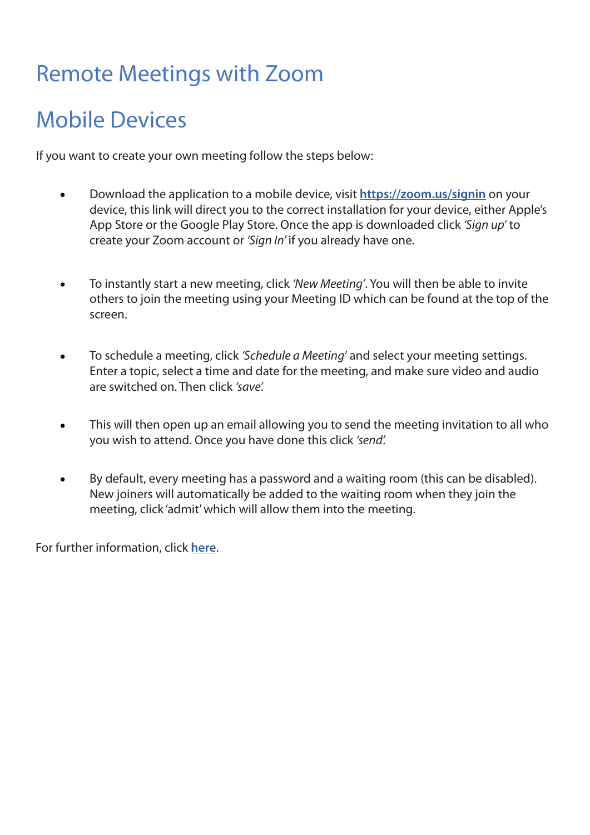## Remote Meetings with Zoom

## Mobile Devices

If you want to create your own meeting follow the steps below:

- Download the application to a mobile device, visit **<https://zoom.us/signin>** on your  $\bullet$ device, this link will direct you to the correct installation for your device, either Apple's App Store or the Google Play Store. Once the app is downloaded click *'Sign up'* to create your Zoom account or *'Sign In'* if you already have one.
- To instantly start a new meeting, click *'New Meeting'*. You will then be able to invite  $\bullet$ others to join the meeting using your Meeting ID which can be found at the top of the screen.
- To schedule a meeting, click *'Schedule a Meeting'* and select your meeting settings.  $\bullet$ Enter a topic, select a time and date for the meeting, and make sure video and audio are switched on. Then click *'save'.*
- This will then open up an email allowing you to send the meeting invitation to all who you wish to attend. Once you have done this click *'send'.*
- By default, every meeting has a password and a waiting room (this can be disabled).  $\bullet$ New joiners will automatically be added to the waiting room when they join the meeting, click 'admit' which will allow them into the meeting.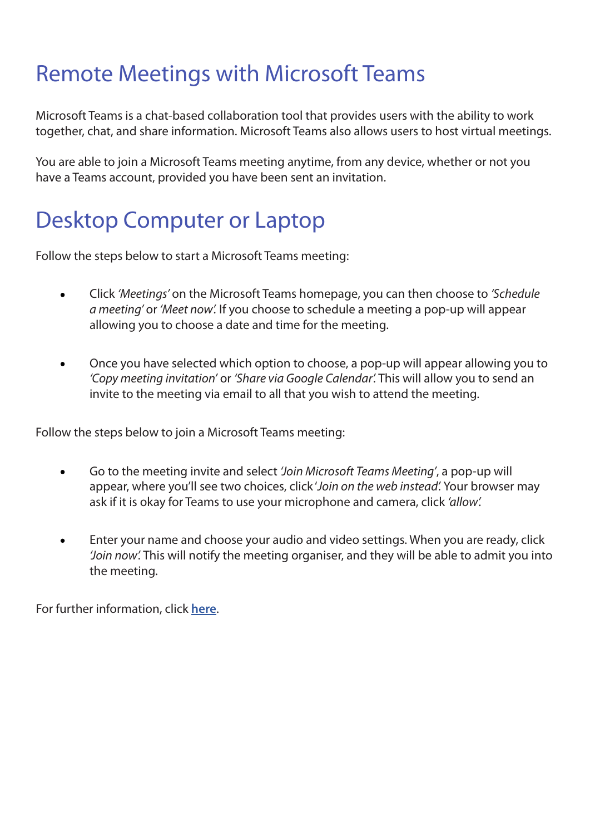#### Remote Meetings with Microsoft Teams

Microsoft Teams is a chat-based collaboration tool that provides users with the ability to work together, chat, and share information. Microsoft Teams also allows users to host virtual meetings.

You are able to join a Microsoft Teams meeting anytime, from any device, whether or not you have a Teams account, provided you have been sent an invitation.

## Desktop Computer or Laptop

Follow the steps below to start a Microsoft Teams meeting:

- Click *'Meetings'* on the Microsoft Teams homepage, you can then choose to *'Schedule a meeting'* or *'Meet now'.* If you choose to schedule a meeting a pop-up will appear allowing you to choose a date and time for the meeting.
- Once you have selected which option to choose, a pop-up will appear allowing you to  $\bullet$ *'Copy meeting invitation'* or *'Share via Google Calendar'.* This will allow you to send an invite to the meeting via email to all that you wish to attend the meeting.

Follow the steps below to join a Microsoft Teams meeting:

- Go to the meeting invite and select *'Join Microsoft Teams Meeting'*, a pop-up will appear, where you'll see two choices, click '*Join on the web instead'.* Your browser may ask if it is okay for Teams to use your microphone and camera, click *'allow'.*
- Enter your name and choose your audio and video settings. When you are ready, click *'Join now'.* This will notify the meeting organiser, and they will be able to admit you into the meeting.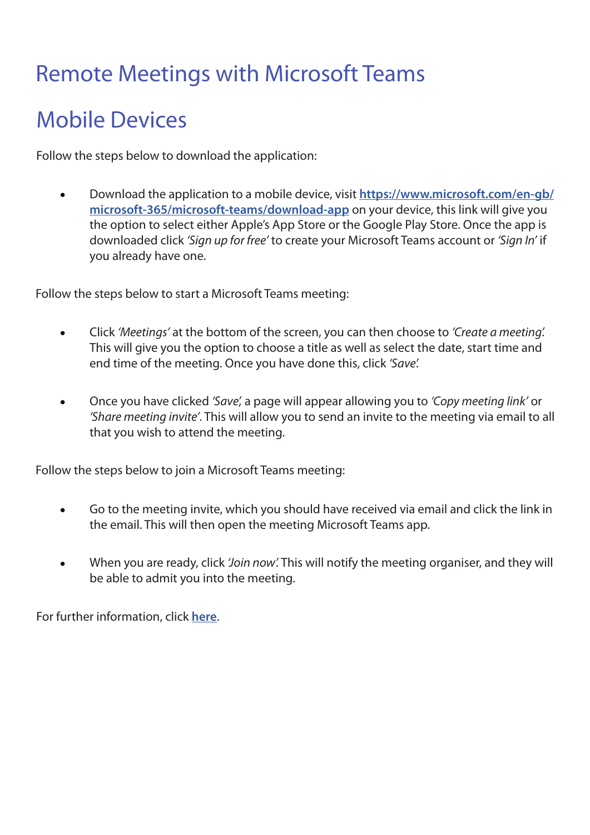#### Remote Meetings with Microsoft Teams

#### Mobile Devices

Follow the steps below to download the application:

Download the application to a mobile device, visit **[https://www.microsoft.com/en-gb/](https://www.microsoft.com/en-gb/microsoft-365/microsoft-teams/download-app)**  $\bullet$ **[microsoft-365/microsoft-teams/download-app](https://www.microsoft.com/en-gb/microsoft-365/microsoft-teams/download-app)** on your device, this link will give you the option to select either Apple's App Store or the Google Play Store. Once the app is downloaded click *'Sign up for free'* to create your Microsoft Teams account or *'Sign In'* if you already have one.

Follow the steps below to start a Microsoft Teams meeting:

- Click *'Meetings'* at the bottom of the screen, you can then choose to *'Create a meeting'.*  $\bullet$ This will give you the option to choose a title as well as select the date, start time and end time of the meeting. Once you have done this, click *'Save'.*
- Once you have clicked *'Save',* a page will appear allowing you to *'Copy meeting link'* or  $\bullet$ *'Share meeting invite'*. This will allow you to send an invite to the meeting via email to all that you wish to attend the meeting.

Follow the steps below to join a Microsoft Teams meeting:

- Go to the meeting invite, which you should have received via email and click the link in  $\bullet$ the email. This will then open the meeting Microsoft Teams app.
- When you are ready, click *'Join now'.* This will notify the meeting organiser, and they will be able to admit you into the meeting.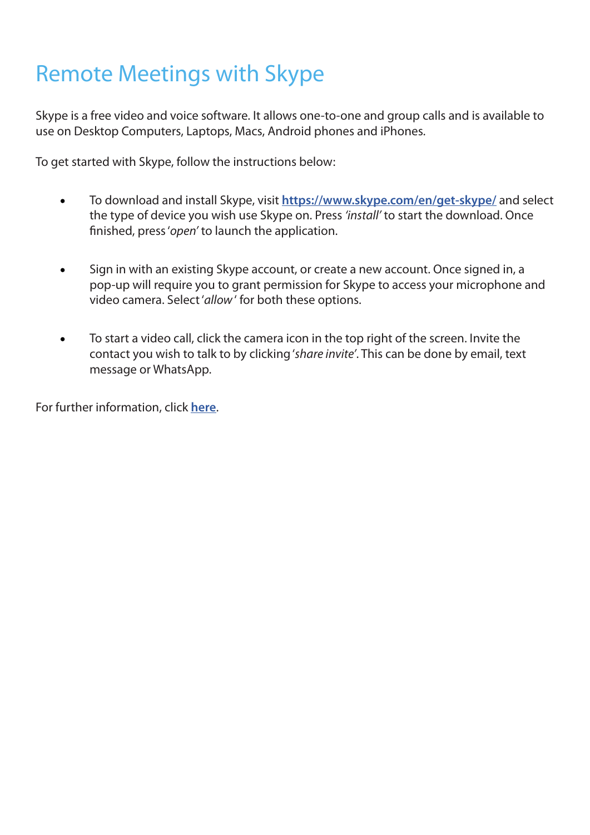## Remote Meetings with Skype

Skype is a free video and voice software. It allows one-to-one and group calls and is available to use on Desktop Computers, Laptops, Macs, Android phones and iPhones.

To get started with Skype, follow the instructions below:

- To download and install Skype, visit **<https://www.skype.com/en/get-skype/>** and select the type of device you wish use Skype on. Press *'install'* to start the download. Once finished, press '*open'* to launch the application.
- Sign in with an existing Skype account, or create a new account. Once signed in, a  $\bullet$ pop-up will require you to grant permission for Skype to access your microphone and video camera. Select '*allow* ' for both these options.
- To start a video call, click the camera icon in the top right of the screen. Invite the contact you wish to talk to by clicking '*share invite'*. This can be done by email, text message or WhatsApp.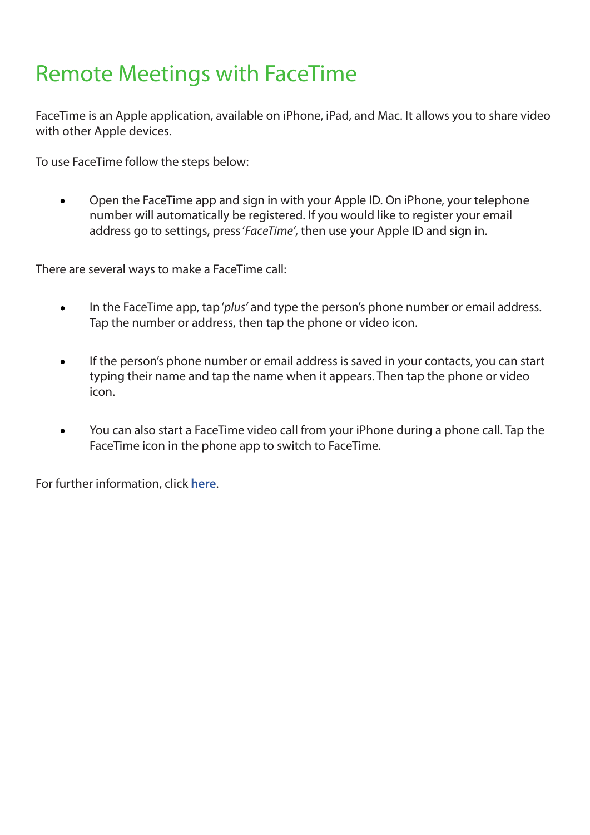#### Remote Meetings with FaceTime

FaceTime is an Apple application, available on iPhone, iPad, and Mac. It allows you to share video with other Apple devices.

To use FaceTime follow the steps below:

 $\bullet$ Open the FaceTime app and sign in with your Apple ID. On iPhone, your telephone number will automatically be registered. If you would like to register your email address go to settings, press '*FaceTime'*, then use your Apple ID and sign in.

There are several ways to make a FaceTime call:

- In the FaceTime app, tap '*plus'* and type the person's phone number or email address.  $\bullet$ Tap the number or address, then tap the phone or video icon.
- If the person's phone number or email address is saved in your contacts, you can start typing their name and tap the name when it appears. Then tap the phone or video icon.
- You can also start a FaceTime video call from your iPhone during a phone call. Tap the FaceTime icon in the phone app to switch to FaceTime.